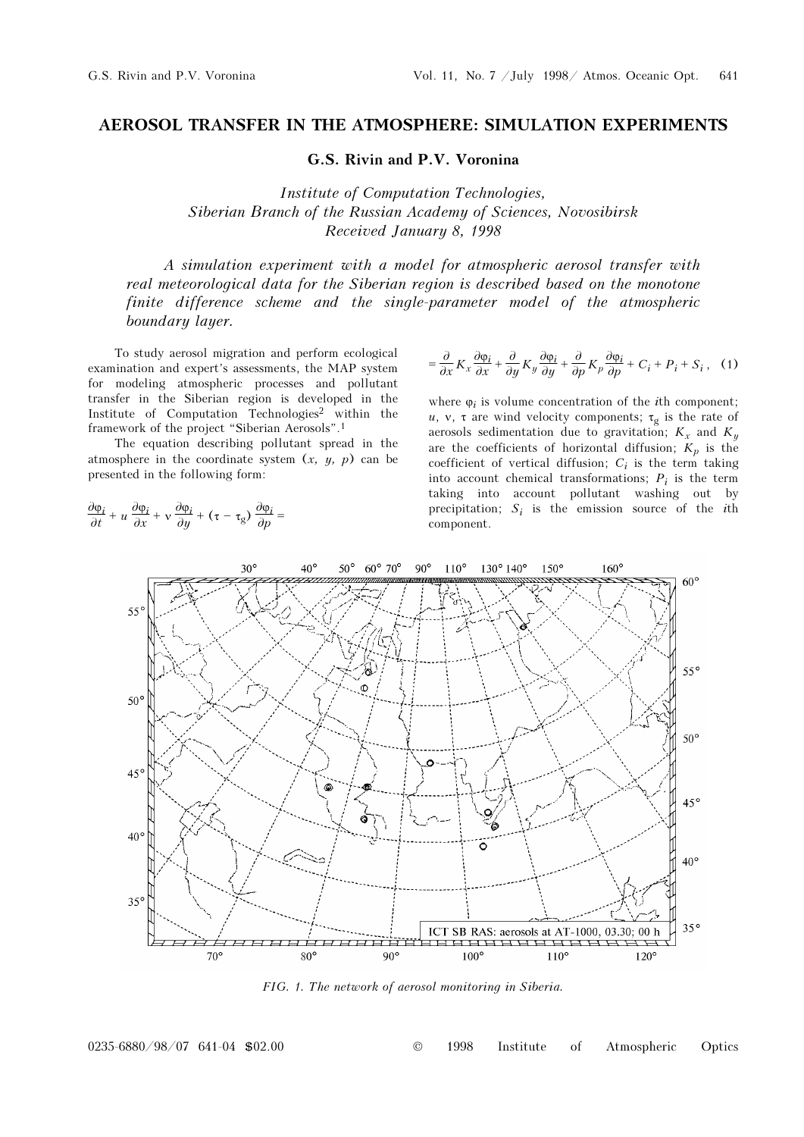## AEROSOL TRANSFER IN THE ATMOSPHERE: SIMULATION EXPERIMENTS

G.S. Rivin and P.V. Voronina

Institute of Computation Technologies, Siberian Branch of the Russian Academy of Sciences, Novosibirsk Received January 8, 1998

A simulation experiment with a model for atmospheric aerosol transfer with real meteorological data for the Siberian region is described based on the monotone finite difference scheme and the single-parameter model of the atmospheric boundary layer.

To study aerosol migration and perform ecological examination and expert's assessments, the MAP system for modeling atmospheric processes and pollutant transfer in the Siberian region is developed in the Institute of Computation Technologies<sup>2</sup> within the framework of the project "Siberian Aerosols".<sup>1</sup>

The equation describing pollutant spread in the atmosphere in the coordinate system  $(x, y, p)$  can be presented in the following form:

$$
\frac{\partial \varphi_i}{\partial t} + u \frac{\partial \varphi_i}{\partial x} + v \frac{\partial \varphi_i}{\partial y} + (\tau - \tau_g) \frac{\partial \varphi_i}{\partial p} =
$$

$$
= \frac{\partial}{\partial x} K_x \frac{\partial \varphi_i}{\partial x} + \frac{\partial}{\partial y} K_y \frac{\partial \varphi_i}{\partial y} + \frac{\partial}{\partial p} K_p \frac{\partial \varphi_i}{\partial p} + C_i + P_i + S_i, \quad (1)
$$

where  $\varphi_i$  is volume concentration of the *i*th component; u, v, τ are wind velocity components;  $\tau_g$  is the rate of aerosols sedimentation due to gravitation;  $K_x$  and  $K_y$ are the coefficients of horizontal diffusion;  $K_p$  is the coefficient of vertical diffusion;  $C_i$  is the term taking into account chemical transformations;  $P_i$  is the term taking into account pollutant washing out by precipitation;  $S_i$  is the emission source of the *i*th component.



FIG. 1. The network of aerosol monitoring in Siberia.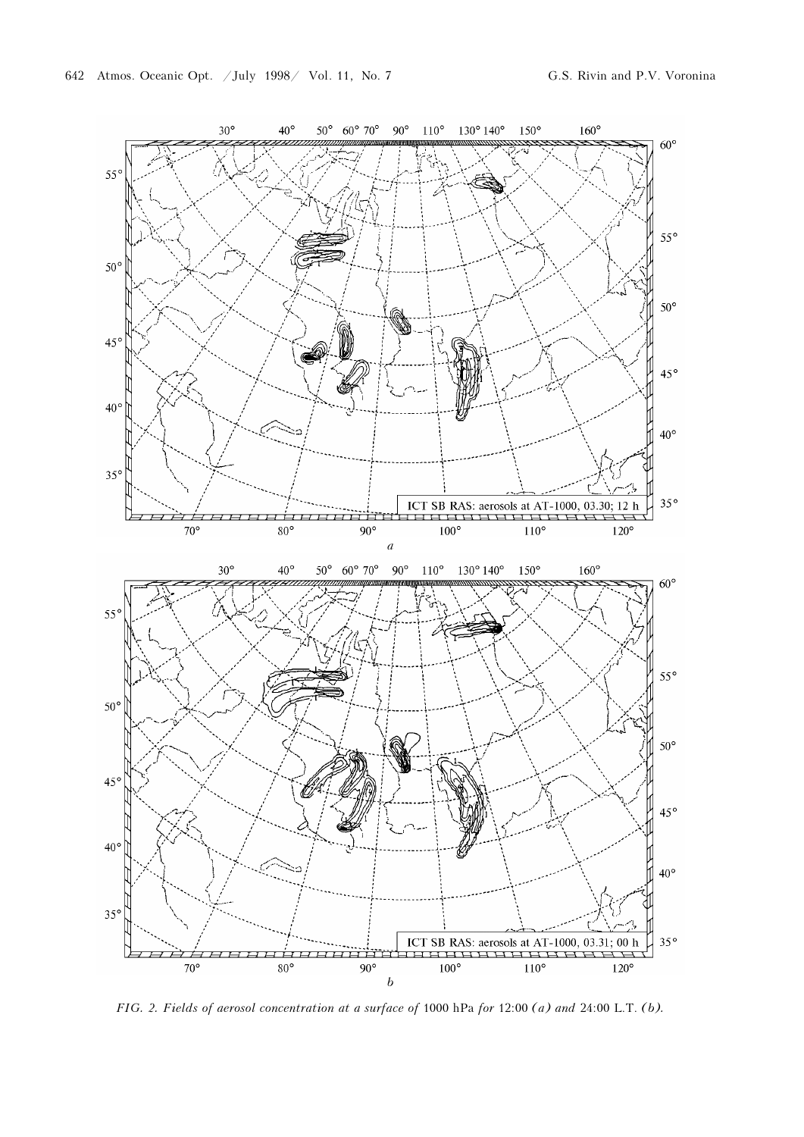

FIG. 2. Fields of aerosol concentration at a surface of 1000 hPa for 12:00 (a) and 24:00 L.T. (b).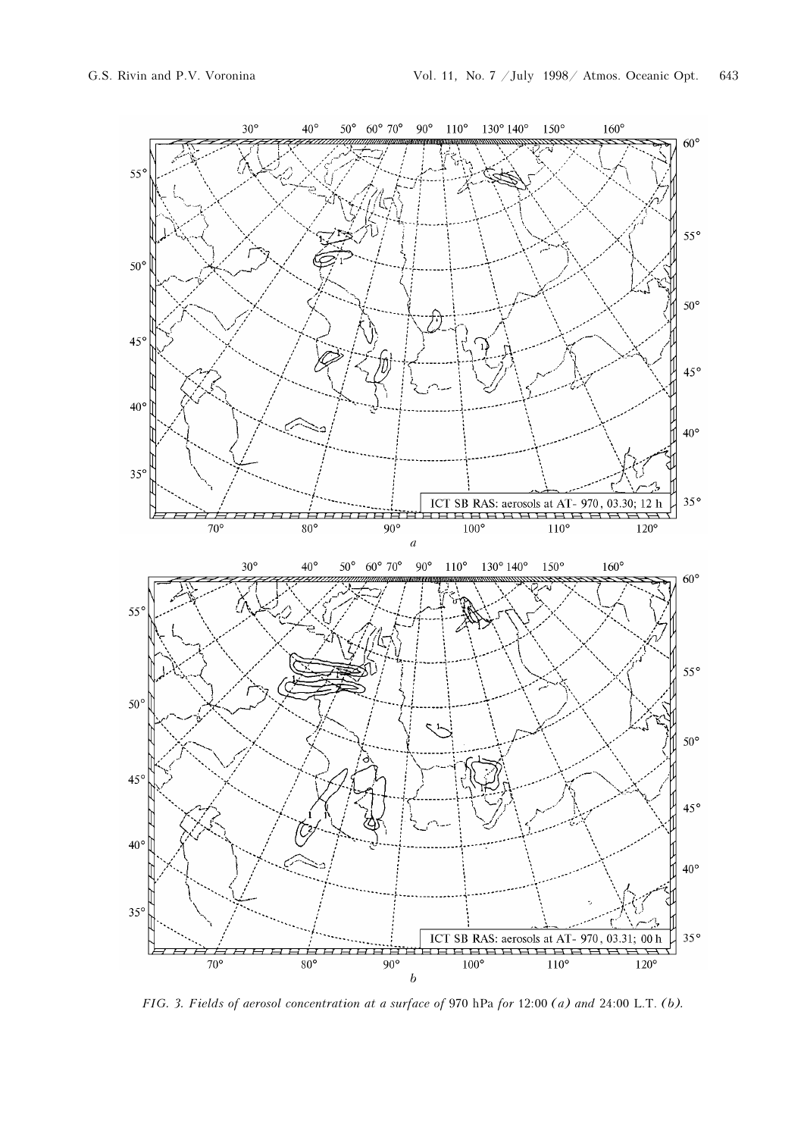

FIG. 3. Fields of aerosol concentration at a surface of 970 hPa for 12:00 (a) and 24:00 L.T. (b).